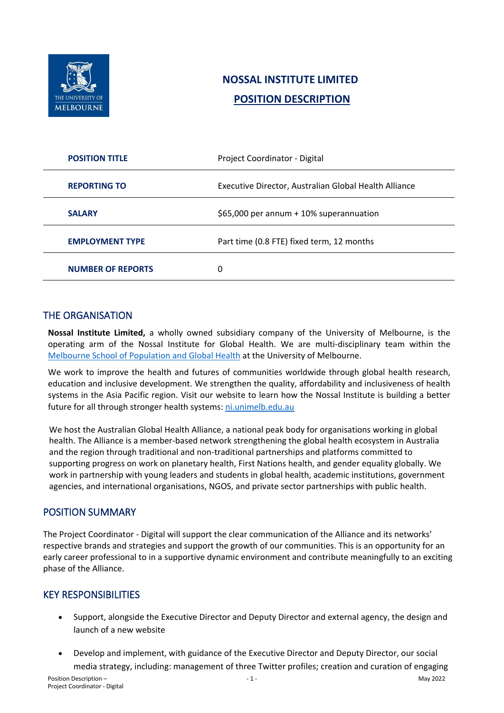

# **NOSSAL INSTITUTE LIMITED POSITION DESCRIPTION**

| <b>POSITION TITLE</b>    | Project Coordinator - Digital                         |
|--------------------------|-------------------------------------------------------|
| <b>REPORTING TO</b>      | Executive Director, Australian Global Health Alliance |
| <b>SALARY</b>            | \$65,000 per annum + 10% superannuation               |
| <b>EMPLOYMENT TYPE</b>   | Part time (0.8 FTE) fixed term, 12 months             |
| <b>NUMBER OF REPORTS</b> | 0                                                     |

## THE ORGANISATION

**Nossal Institute Limited,** a wholly owned subsidiary company of the University of Melbourne, is the operating arm of the Nossal Institute for Global Health. We are multi-disciplinary team within the [Melbourne School of Population and Global Health](https://mspgh.unimelb.edu.au/) at the University of Melbourne.

We work to improve the health and futures of communities worldwide through global health research, education and inclusive development. We strengthen the quality, affordability and inclusiveness of health systems in the Asia Pacific region. Visit our website to learn how the Nossal Institute is building a better future for all through stronger health systems: [ni.unimelb.edu.au](http://ni.unimelb.edu.au/?utm_source=application)

We host the Australian Global Health Alliance, a national peak body for organisations working in global health. The Alliance is a member-based network strengthening the global health ecosystem in Australia and the region through traditional and non-traditional partnerships and platforms committed to supporting progress on work on planetary health, First Nations health, and gender equality globally. We work in partnership with young leaders and students in global health, academic institutions, government agencies, and international organisations, NGOS, and private sector partnerships with public health.

#### POSITION SUMMARY

The Project Coordinator - Digital will support the clear communication of the Alliance and its networks' respective brands and strategies and support the growth of our communities. This is an opportunity for an early career professional to in a supportive dynamic environment and contribute meaningfully to an exciting phase of the Alliance.

#### KEY RESPONSIBILITIES

- Support, alongside the Executive Director and Deputy Director and external agency, the design and launch of a new website
- Develop and implement, with guidance of the Executive Director and Deputy Director, our social media strategy, including: management of three Twitter profiles; creation and curation of engaging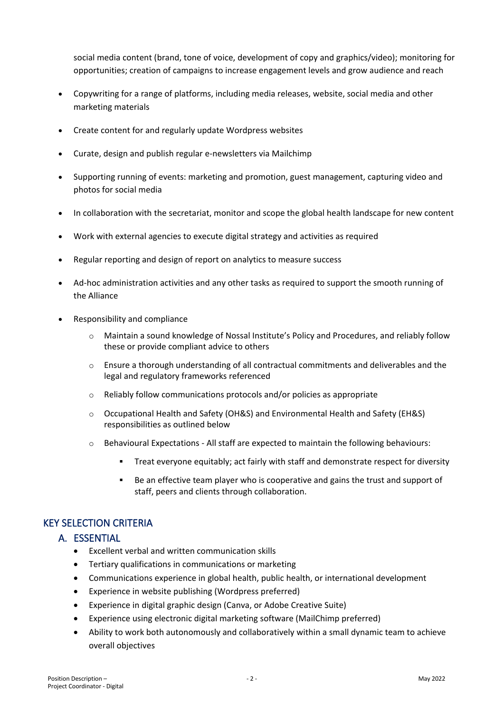social media content (brand, tone of voice, development of copy and graphics/video); monitoring for opportunities; creation of campaigns to increase engagement levels and grow audience and reach

- Copywriting for a range of platforms, including media releases, website, social media and other marketing materials
- Create content for and regularly update Wordpress websites
- Curate, design and publish regular e-newsletters via Mailchimp
- Supporting running of events: marketing and promotion, guest management, capturing video and photos for social media
- In collaboration with the secretariat, monitor and scope the global health landscape for new content
- Work with external agencies to execute digital strategy and activities as required
- Regular reporting and design of report on analytics to measure success
- Ad-hoc administration activities and any other tasks as required to support the smooth running of the Alliance
- Responsibility and compliance
	- o Maintain a sound knowledge of Nossal Institute's Policy and Procedures, and reliably follow these or provide compliant advice to others
	- $\circ$  Ensure a thorough understanding of all contractual commitments and deliverables and the legal and regulatory frameworks referenced
	- o Reliably follow communications protocols and/or policies as appropriate
	- o Occupational Health and Safety (OH&S) and Environmental Health and Safety (EH&S) responsibilities as outlined below
	- o Behavioural Expectations All staff are expected to maintain the following behaviours:
		- Treat everyone equitably; act fairly with staff and demonstrate respect for diversity
		- Be an effective team player who is cooperative and gains the trust and support of staff, peers and clients through collaboration.

## KEY SELECTION CRITERIA

#### A. ESSENTIAL

- Excellent verbal and written communication skills
- Tertiary qualifications in communications or marketing
- Communications experience in global health, public health, or international development
- Experience in website publishing (Wordpress preferred)
- Experience in digital graphic design (Canva, or Adobe Creative Suite)
- Experience using electronic digital marketing software (MailChimp preferred)
- Ability to work both autonomously and collaboratively within a small dynamic team to achieve overall objectives